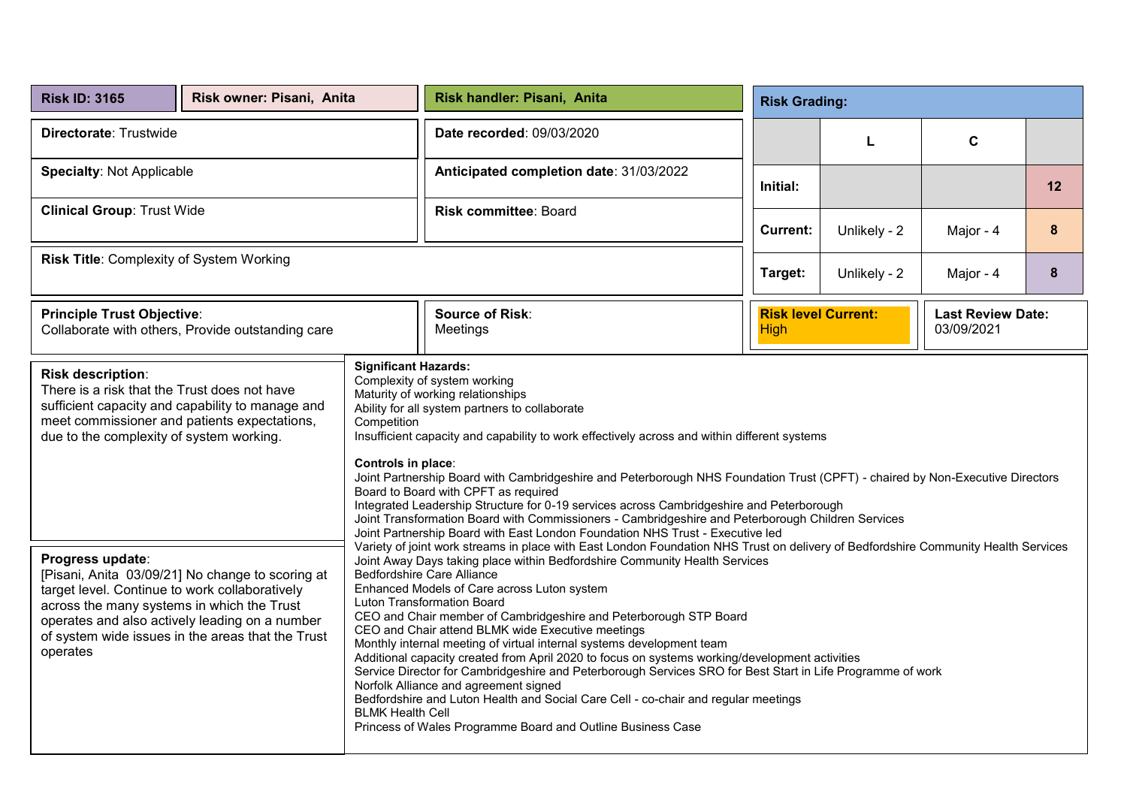| <b>Risk ID: 3165</b>                                                                                                                                                                                                                                                                                                                                                                                                                                                                                                                                                                                        | Risk owner: Pisani, Anita |  | Risk handler: Pisani, Anita                                                                                                                                                                                                                                                                                                                                                                                                                                                                                                                                                              | <b>Risk Grading:</b>                                                                                                                                                                                                                                                                                                                                                                                                                                                                                                                                                                                                                                                                                                                                                                                                                                                                                                                                                                                                                      |              |                                        |                  |  |  |
|-------------------------------------------------------------------------------------------------------------------------------------------------------------------------------------------------------------------------------------------------------------------------------------------------------------------------------------------------------------------------------------------------------------------------------------------------------------------------------------------------------------------------------------------------------------------------------------------------------------|---------------------------|--|------------------------------------------------------------------------------------------------------------------------------------------------------------------------------------------------------------------------------------------------------------------------------------------------------------------------------------------------------------------------------------------------------------------------------------------------------------------------------------------------------------------------------------------------------------------------------------------|-------------------------------------------------------------------------------------------------------------------------------------------------------------------------------------------------------------------------------------------------------------------------------------------------------------------------------------------------------------------------------------------------------------------------------------------------------------------------------------------------------------------------------------------------------------------------------------------------------------------------------------------------------------------------------------------------------------------------------------------------------------------------------------------------------------------------------------------------------------------------------------------------------------------------------------------------------------------------------------------------------------------------------------------|--------------|----------------------------------------|------------------|--|--|
| Directorate: Trustwide                                                                                                                                                                                                                                                                                                                                                                                                                                                                                                                                                                                      |                           |  | Date recorded: 09/03/2020                                                                                                                                                                                                                                                                                                                                                                                                                                                                                                                                                                | L                                                                                                                                                                                                                                                                                                                                                                                                                                                                                                                                                                                                                                                                                                                                                                                                                                                                                                                                                                                                                                         |              |                                        |                  |  |  |
| <b>Specialty: Not Applicable</b>                                                                                                                                                                                                                                                                                                                                                                                                                                                                                                                                                                            |                           |  | Anticipated completion date: 31/03/2022                                                                                                                                                                                                                                                                                                                                                                                                                                                                                                                                                  | Initial:                                                                                                                                                                                                                                                                                                                                                                                                                                                                                                                                                                                                                                                                                                                                                                                                                                                                                                                                                                                                                                  |              |                                        | 12               |  |  |
| <b>Clinical Group: Trust Wide</b>                                                                                                                                                                                                                                                                                                                                                                                                                                                                                                                                                                           |                           |  | Risk committee: Board                                                                                                                                                                                                                                                                                                                                                                                                                                                                                                                                                                    | <b>Current:</b>                                                                                                                                                                                                                                                                                                                                                                                                                                                                                                                                                                                                                                                                                                                                                                                                                                                                                                                                                                                                                           | Unlikely - 2 | Major - 4                              | $\boldsymbol{8}$ |  |  |
| Risk Title: Complexity of System Working                                                                                                                                                                                                                                                                                                                                                                                                                                                                                                                                                                    |                           |  |                                                                                                                                                                                                                                                                                                                                                                                                                                                                                                                                                                                          | Target:                                                                                                                                                                                                                                                                                                                                                                                                                                                                                                                                                                                                                                                                                                                                                                                                                                                                                                                                                                                                                                   | Unlikely - 2 | Major - 4                              | 8                |  |  |
| <b>Principle Trust Objective:</b><br>Collaborate with others, Provide outstanding care                                                                                                                                                                                                                                                                                                                                                                                                                                                                                                                      |                           |  | <b>Source of Risk:</b><br>Meetings                                                                                                                                                                                                                                                                                                                                                                                                                                                                                                                                                       | <b>Risk level Current:</b><br><b>High</b>                                                                                                                                                                                                                                                                                                                                                                                                                                                                                                                                                                                                                                                                                                                                                                                                                                                                                                                                                                                                 |              | <b>Last Review Date:</b><br>03/09/2021 |                  |  |  |
| <b>Significant Hazards:</b><br>Risk description:<br>There is a risk that the Trust does not have<br>sufficient capacity and capability to manage and<br>meet commissioner and patients expectations,<br>Competition<br>due to the complexity of system working.<br>Controls in place:<br>Progress update:<br>[Pisani, Anita 03/09/21] No change to scoring at<br>target level. Continue to work collaboratively<br>across the many systems in which the Trust<br>operates and also actively leading on a number<br>of system wide issues in the areas that the Trust<br>operates<br><b>BLMK Health Cell</b> |                           |  | Complexity of system working<br>Maturity of working relationships<br>Ability for all system partners to collaborate<br>Board to Board with CPFT as required<br><b>Bedfordshire Care Alliance</b><br>Enhanced Models of Care across Luton system<br>Luton Transformation Board<br>CEO and Chair member of Cambridgeshire and Peterborough STP Board<br>CEO and Chair attend BLMK wide Executive meetings<br>Monthly internal meeting of virtual internal systems development team<br>Norfolk Alliance and agreement signed<br>Princess of Wales Programme Board and Outline Business Case | Insufficient capacity and capability to work effectively across and within different systems<br>Joint Partnership Board with Cambridgeshire and Peterborough NHS Foundation Trust (CPFT) - chaired by Non-Executive Directors<br>Integrated Leadership Structure for 0-19 services across Cambridgeshire and Peterborough<br>Joint Transformation Board with Commissioners - Cambridgeshire and Peterborough Children Services<br>Joint Partnership Board with East London Foundation NHS Trust - Executive led<br>Variety of joint work streams in place with East London Foundation NHS Trust on delivery of Bedfordshire Community Health Services<br>Joint Away Days taking place within Bedfordshire Community Health Services<br>Additional capacity created from April 2020 to focus on systems working/development activities<br>Service Director for Cambridgeshire and Peterborough Services SRO for Best Start in Life Programme of work<br>Bedfordshire and Luton Health and Social Care Cell - co-chair and regular meetings |              |                                        |                  |  |  |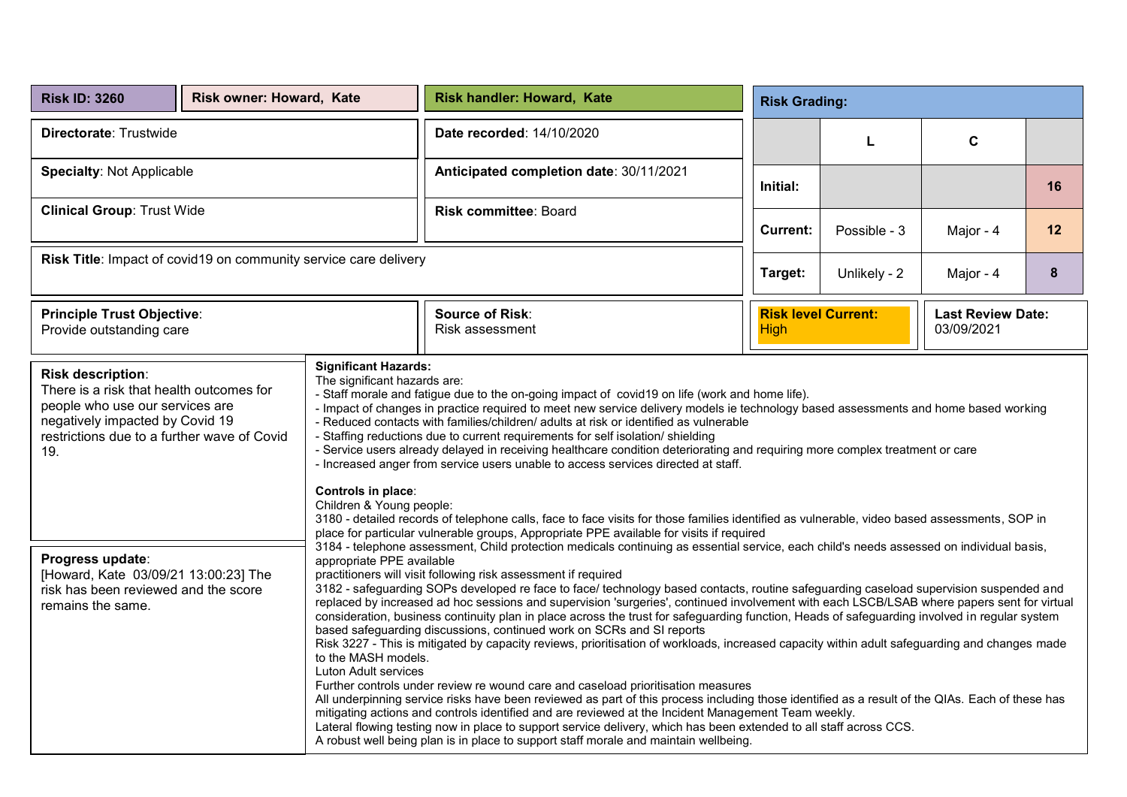| <b>Risk ID: 3260</b>                                                                                                                                                                                                                                                                                               | Risk owner: Howard, Kate                                                                                                                                                                                                                                                                                                                                                                                                                                                                                                                                                                                                                                                                                                                                                                                                                                                                                                                                                                                                                                                                                                                                                                                                                                                                                                                                                                                                                                                                                                                                                                                                                                                                                                                                                                                                                                                                                                                                                                                                                                                                                                                                                                                                                                                                                                                                                                                                                                                                               |  | <b>Risk handler: Howard, Kate</b>         |                                           |              | <b>Risk Grading:</b>                   |    |  |  |
|--------------------------------------------------------------------------------------------------------------------------------------------------------------------------------------------------------------------------------------------------------------------------------------------------------------------|--------------------------------------------------------------------------------------------------------------------------------------------------------------------------------------------------------------------------------------------------------------------------------------------------------------------------------------------------------------------------------------------------------------------------------------------------------------------------------------------------------------------------------------------------------------------------------------------------------------------------------------------------------------------------------------------------------------------------------------------------------------------------------------------------------------------------------------------------------------------------------------------------------------------------------------------------------------------------------------------------------------------------------------------------------------------------------------------------------------------------------------------------------------------------------------------------------------------------------------------------------------------------------------------------------------------------------------------------------------------------------------------------------------------------------------------------------------------------------------------------------------------------------------------------------------------------------------------------------------------------------------------------------------------------------------------------------------------------------------------------------------------------------------------------------------------------------------------------------------------------------------------------------------------------------------------------------------------------------------------------------------------------------------------------------------------------------------------------------------------------------------------------------------------------------------------------------------------------------------------------------------------------------------------------------------------------------------------------------------------------------------------------------------------------------------------------------------------------------------------------------|--|-------------------------------------------|-------------------------------------------|--------------|----------------------------------------|----|--|--|
| Directorate: Trustwide                                                                                                                                                                                                                                                                                             |                                                                                                                                                                                                                                                                                                                                                                                                                                                                                                                                                                                                                                                                                                                                                                                                                                                                                                                                                                                                                                                                                                                                                                                                                                                                                                                                                                                                                                                                                                                                                                                                                                                                                                                                                                                                                                                                                                                                                                                                                                                                                                                                                                                                                                                                                                                                                                                                                                                                                                        |  | Date recorded: 14/10/2020                 |                                           | L            | C                                      |    |  |  |
| <b>Specialty: Not Applicable</b>                                                                                                                                                                                                                                                                                   |                                                                                                                                                                                                                                                                                                                                                                                                                                                                                                                                                                                                                                                                                                                                                                                                                                                                                                                                                                                                                                                                                                                                                                                                                                                                                                                                                                                                                                                                                                                                                                                                                                                                                                                                                                                                                                                                                                                                                                                                                                                                                                                                                                                                                                                                                                                                                                                                                                                                                                        |  | Anticipated completion date: 30/11/2021   | Initial:                                  |              |                                        | 16 |  |  |
| <b>Clinical Group: Trust Wide</b>                                                                                                                                                                                                                                                                                  |                                                                                                                                                                                                                                                                                                                                                                                                                                                                                                                                                                                                                                                                                                                                                                                                                                                                                                                                                                                                                                                                                                                                                                                                                                                                                                                                                                                                                                                                                                                                                                                                                                                                                                                                                                                                                                                                                                                                                                                                                                                                                                                                                                                                                                                                                                                                                                                                                                                                                                        |  | Risk committee: Board                     | <b>Current:</b>                           | Possible - 3 | Major - 4                              | 12 |  |  |
| Risk Title: Impact of covid19 on community service care delivery                                                                                                                                                                                                                                                   |                                                                                                                                                                                                                                                                                                                                                                                                                                                                                                                                                                                                                                                                                                                                                                                                                                                                                                                                                                                                                                                                                                                                                                                                                                                                                                                                                                                                                                                                                                                                                                                                                                                                                                                                                                                                                                                                                                                                                                                                                                                                                                                                                                                                                                                                                                                                                                                                                                                                                                        |  |                                           | Target:                                   | Unlikely - 2 | Major - 4                              | 8  |  |  |
| <b>Principle Trust Objective:</b><br>Provide outstanding care                                                                                                                                                                                                                                                      |                                                                                                                                                                                                                                                                                                                                                                                                                                                                                                                                                                                                                                                                                                                                                                                                                                                                                                                                                                                                                                                                                                                                                                                                                                                                                                                                                                                                                                                                                                                                                                                                                                                                                                                                                                                                                                                                                                                                                                                                                                                                                                                                                                                                                                                                                                                                                                                                                                                                                                        |  | <b>Source of Risk:</b><br>Risk assessment | <b>Risk level Current:</b><br><b>High</b> |              | <b>Last Review Date:</b><br>03/09/2021 |    |  |  |
| Risk description:<br>There is a risk that health outcomes for<br>people who use our services are<br>negatively impacted by Covid 19<br>restrictions due to a further wave of Covid<br>19.<br>Progress update:<br>[Howard, Kate 03/09/21 13:00:23] The<br>risk has been reviewed and the score<br>remains the same. | <b>Significant Hazards:</b><br>The significant hazards are:<br>- Staff morale and fatigue due to the on-going impact of covid19 on life (work and home life).<br>- Impact of changes in practice required to meet new service delivery models ie technology based assessments and home based working<br>- Reduced contacts with families/children/ adults at risk or identified as vulnerable<br>- Staffing reductions due to current requirements for self isolation/ shielding<br>- Service users already delayed in receiving healthcare condition deteriorating and requiring more complex treatment or care<br>- Increased anger from service users unable to access services directed at staff.<br>Children & Young people:<br>3180 - detailed records of telephone calls, face to face visits for those families identified as vulnerable, video based assessments, SOP in<br>place for particular vulnerable groups, Appropriate PPE available for visits if required<br>3184 - telephone assessment, Child protection medicals continuing as essential service, each child's needs assessed on individual basis,<br>appropriate PPE available<br>practitioners will visit following risk assessment if required<br>3182 - safeguarding SOPs developed re face to face/ technology based contacts, routine safeguarding caseload supervision suspended and<br>replaced by increased ad hoc sessions and supervision 'surgeries', continued involvement with each LSCB/LSAB where papers sent for virtual<br>consideration, business continuity plan in place across the trust for safeguarding function, Heads of safeguarding involved in regular system<br>based safeguarding discussions, continued work on SCRs and SI reports<br>Risk 3227 - This is mitigated by capacity reviews, prioritisation of workloads, increased capacity within adult safeguarding and changes made<br>to the MASH models.<br>Luton Adult services<br>Further controls under review re wound care and caseload prioritisation measures<br>All underpinning service risks have been reviewed as part of this process including those identified as a result of the QIAs. Each of these has<br>mitigating actions and controls identified and are reviewed at the Incident Management Team weekly.<br>Lateral flowing testing now in place to support service delivery, which has been extended to all staff across CCS.<br>A robust well being plan is in place to support staff morale and maintain wellbeing. |  |                                           |                                           |              |                                        |    |  |  |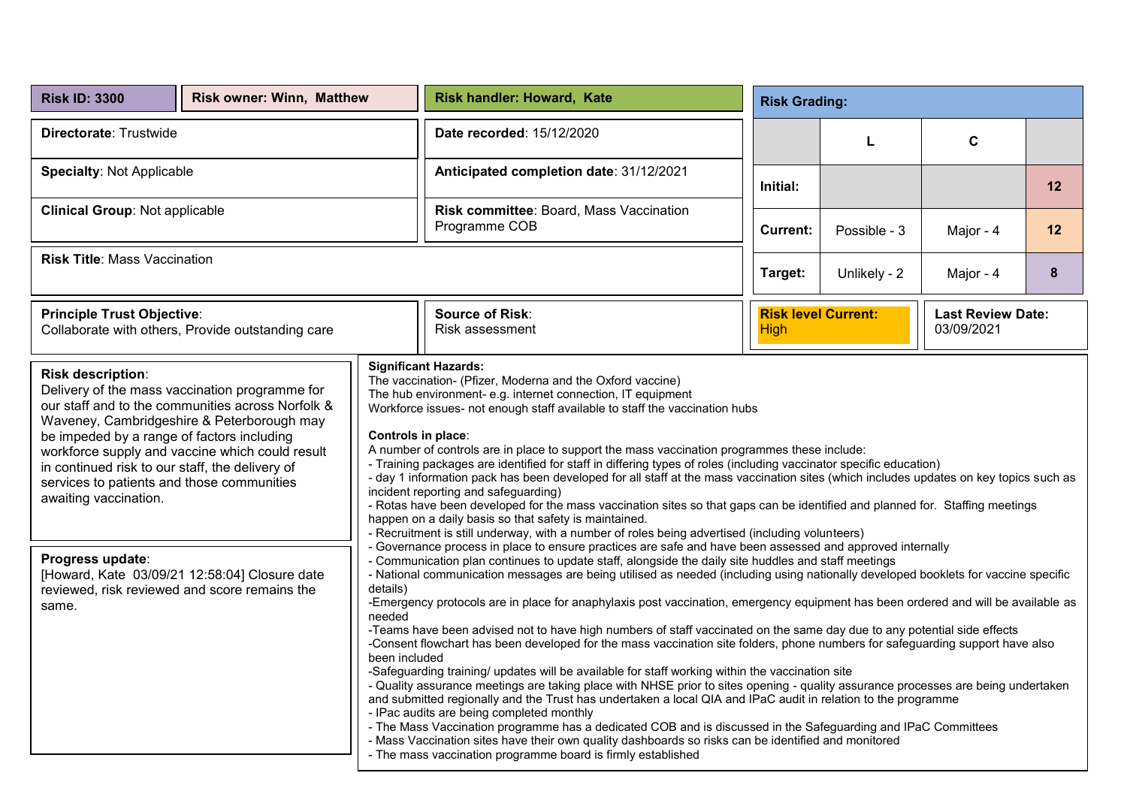| <b>Risk ID: 3300</b>                                                                                                                                                                                                                                                                                                                                                                                                                                                                                                                                                                          | <b>Risk owner: Winn, Matthew</b> | Risk handler: Howard, Kate |                                                                                                                                                                                                                                                                                                                                                                                                                                                                                                                                                                                                                                                                                                                                                                                                                                                                                                                                                                                                                                                                                                                                                                                                                                                                                                                                                                                                                                                                                                                                                                                                                                                                                                                                                                                                                                                                                                                                                                                                                                                                                                                                                                                                                                                                                                                                  |                 | <b>Risk Grading:</b>       |                                        |    |  |  |
|-----------------------------------------------------------------------------------------------------------------------------------------------------------------------------------------------------------------------------------------------------------------------------------------------------------------------------------------------------------------------------------------------------------------------------------------------------------------------------------------------------------------------------------------------------------------------------------------------|----------------------------------|----------------------------|----------------------------------------------------------------------------------------------------------------------------------------------------------------------------------------------------------------------------------------------------------------------------------------------------------------------------------------------------------------------------------------------------------------------------------------------------------------------------------------------------------------------------------------------------------------------------------------------------------------------------------------------------------------------------------------------------------------------------------------------------------------------------------------------------------------------------------------------------------------------------------------------------------------------------------------------------------------------------------------------------------------------------------------------------------------------------------------------------------------------------------------------------------------------------------------------------------------------------------------------------------------------------------------------------------------------------------------------------------------------------------------------------------------------------------------------------------------------------------------------------------------------------------------------------------------------------------------------------------------------------------------------------------------------------------------------------------------------------------------------------------------------------------------------------------------------------------------------------------------------------------------------------------------------------------------------------------------------------------------------------------------------------------------------------------------------------------------------------------------------------------------------------------------------------------------------------------------------------------------------------------------------------------------------------------------------------------|-----------------|----------------------------|----------------------------------------|----|--|--|
| Directorate: Trustwide                                                                                                                                                                                                                                                                                                                                                                                                                                                                                                                                                                        |                                  |                            | Date recorded: 15/12/2020                                                                                                                                                                                                                                                                                                                                                                                                                                                                                                                                                                                                                                                                                                                                                                                                                                                                                                                                                                                                                                                                                                                                                                                                                                                                                                                                                                                                                                                                                                                                                                                                                                                                                                                                                                                                                                                                                                                                                                                                                                                                                                                                                                                                                                                                                                        | C<br>L          |                            |                                        |    |  |  |
| <b>Specialty: Not Applicable</b>                                                                                                                                                                                                                                                                                                                                                                                                                                                                                                                                                              |                                  |                            | Anticipated completion date: 31/12/2021                                                                                                                                                                                                                                                                                                                                                                                                                                                                                                                                                                                                                                                                                                                                                                                                                                                                                                                                                                                                                                                                                                                                                                                                                                                                                                                                                                                                                                                                                                                                                                                                                                                                                                                                                                                                                                                                                                                                                                                                                                                                                                                                                                                                                                                                                          | Initial:        |                            |                                        | 12 |  |  |
| <b>Clinical Group: Not applicable</b>                                                                                                                                                                                                                                                                                                                                                                                                                                                                                                                                                         |                                  |                            | Risk committee: Board, Mass Vaccination<br>Programme COB                                                                                                                                                                                                                                                                                                                                                                                                                                                                                                                                                                                                                                                                                                                                                                                                                                                                                                                                                                                                                                                                                                                                                                                                                                                                                                                                                                                                                                                                                                                                                                                                                                                                                                                                                                                                                                                                                                                                                                                                                                                                                                                                                                                                                                                                         | <b>Current:</b> | Possible - 3               | Major - 4                              | 12 |  |  |
| <b>Risk Title: Mass Vaccination</b>                                                                                                                                                                                                                                                                                                                                                                                                                                                                                                                                                           |                                  |                            |                                                                                                                                                                                                                                                                                                                                                                                                                                                                                                                                                                                                                                                                                                                                                                                                                                                                                                                                                                                                                                                                                                                                                                                                                                                                                                                                                                                                                                                                                                                                                                                                                                                                                                                                                                                                                                                                                                                                                                                                                                                                                                                                                                                                                                                                                                                                  | Target:         | Unlikely - 2<br>Major - 4  |                                        | 8  |  |  |
| <b>Principle Trust Objective:</b><br>Collaborate with others, Provide outstanding care                                                                                                                                                                                                                                                                                                                                                                                                                                                                                                        |                                  |                            | <b>Source of Risk:</b><br>Risk assessment                                                                                                                                                                                                                                                                                                                                                                                                                                                                                                                                                                                                                                                                                                                                                                                                                                                                                                                                                                                                                                                                                                                                                                                                                                                                                                                                                                                                                                                                                                                                                                                                                                                                                                                                                                                                                                                                                                                                                                                                                                                                                                                                                                                                                                                                                        | <b>High</b>     | <b>Risk level Current:</b> | <b>Last Review Date:</b><br>03/09/2021 |    |  |  |
| Risk description:<br>Delivery of the mass vaccination programme for<br>our staff and to the communities across Norfolk &<br>Waveney, Cambridgeshire & Peterborough may<br>Controls in place:<br>be impeded by a range of factors including<br>workforce supply and vaccine which could result<br>in continued risk to our staff, the delivery of<br>services to patients and those communities<br>awaiting vaccination.<br>Progress update:<br>[Howard, Kate 03/09/21 12:58:04] Closure date<br>details)<br>reviewed, risk reviewed and score remains the<br>same.<br>needed<br>been included |                                  |                            | <b>Significant Hazards:</b><br>The vaccination- (Pfizer, Moderna and the Oxford vaccine)<br>The hub environment- e.g. internet connection, IT equipment<br>Workforce issues- not enough staff available to staff the vaccination hubs<br>A number of controls are in place to support the mass vaccination programmes these include:<br>- Training packages are identified for staff in differing types of roles (including vaccinator specific education)<br>- day 1 information pack has been developed for all staff at the mass vaccination sites (which includes updates on key topics such as<br>incident reporting and safeguarding)<br>- Rotas have been developed for the mass vaccination sites so that gaps can be identified and planned for. Staffing meetings<br>happen on a daily basis so that safety is maintained.<br>- Recruitment is still underway, with a number of roles being advertised (including volunteers)<br>- Governance process in place to ensure practices are safe and have been assessed and approved internally<br>- Communication plan continues to update staff, alongside the daily site huddles and staff meetings<br>- National communication messages are being utilised as needed (including using nationally developed booklets for vaccine specific<br>-Emergency protocols are in place for anaphylaxis post vaccination, emergency equipment has been ordered and will be available as<br>-Teams have been advised not to have high numbers of staff vaccinated on the same day due to any potential side effects<br>-Consent flowchart has been developed for the mass vaccination site folders, phone numbers for safeguarding support have also<br>-Safeguarding training/ updates will be available for staff working within the vaccination site<br>- Quality assurance meetings are taking place with NHSE prior to sites opening - quality assurance processes are being undertaken<br>and submitted regionally and the Trust has undertaken a local QIA and IPaC audit in relation to the programme<br>- IPac audits are being completed monthly<br>- The Mass Vaccination programme has a dedicated COB and is discussed in the Safeguarding and IPaC Committees<br>- Mass Vaccination sites have their own quality dashboards so risks can be identified and monitored |                 |                            |                                        |    |  |  |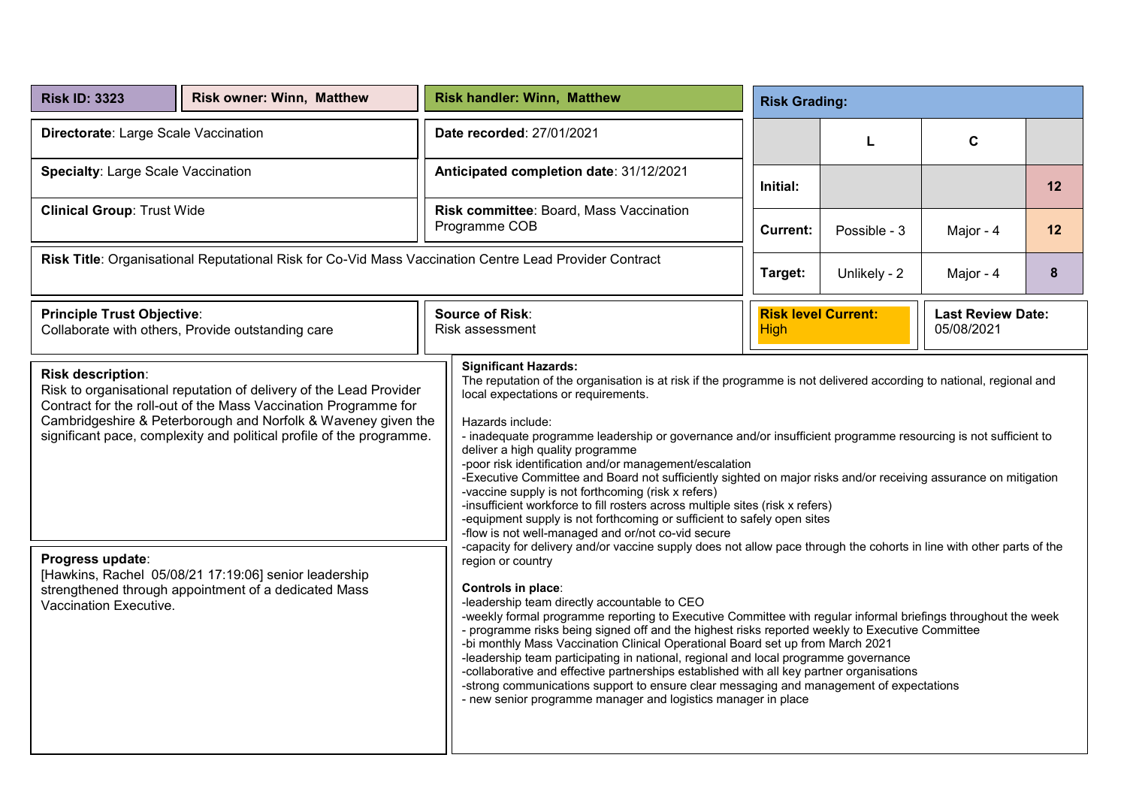| <b>Risk ID: 3323</b>                                                                                                                                                                                                                                                                                | <b>Risk owner: Winn, Matthew</b> | <b>Risk handler: Winn, Matthew</b><br><b>Risk Grading:</b> |                                                                                                                                                                                                                                                                                                                                                                                                                                                                                                                                                                                                                                                                                                                                                                                                                                                                      |                                       |                                                                      |           |    |  |  |  |
|-----------------------------------------------------------------------------------------------------------------------------------------------------------------------------------------------------------------------------------------------------------------------------------------------------|----------------------------------|------------------------------------------------------------|----------------------------------------------------------------------------------------------------------------------------------------------------------------------------------------------------------------------------------------------------------------------------------------------------------------------------------------------------------------------------------------------------------------------------------------------------------------------------------------------------------------------------------------------------------------------------------------------------------------------------------------------------------------------------------------------------------------------------------------------------------------------------------------------------------------------------------------------------------------------|---------------------------------------|----------------------------------------------------------------------|-----------|----|--|--|--|
| Directorate: Large Scale Vaccination                                                                                                                                                                                                                                                                |                                  |                                                            | Date recorded: 27/01/2021                                                                                                                                                                                                                                                                                                                                                                                                                                                                                                                                                                                                                                                                                                                                                                                                                                            | C<br>L                                |                                                                      |           |    |  |  |  |
| Specialty: Large Scale Vaccination                                                                                                                                                                                                                                                                  |                                  |                                                            | Anticipated completion date: 31/12/2021                                                                                                                                                                                                                                                                                                                                                                                                                                                                                                                                                                                                                                                                                                                                                                                                                              | Initial:                              |                                                                      |           | 12 |  |  |  |
| <b>Clinical Group: Trust Wide</b>                                                                                                                                                                                                                                                                   |                                  |                                                            | Risk committee: Board, Mass Vaccination<br>Programme COB                                                                                                                                                                                                                                                                                                                                                                                                                                                                                                                                                                                                                                                                                                                                                                                                             | Possible - 3<br>Major - 4<br>Current: |                                                                      |           | 12 |  |  |  |
| Risk Title: Organisational Reputational Risk for Co-Vid Mass Vaccination Centre Lead Provider Contract                                                                                                                                                                                              |                                  |                                                            |                                                                                                                                                                                                                                                                                                                                                                                                                                                                                                                                                                                                                                                                                                                                                                                                                                                                      | Target:                               | Unlikely - 2                                                         | Major - 4 | 8  |  |  |  |
| <b>Principle Trust Objective:</b><br>Collaborate with others, Provide outstanding care                                                                                                                                                                                                              |                                  |                                                            | <b>Source of Risk:</b><br>Risk assessment                                                                                                                                                                                                                                                                                                                                                                                                                                                                                                                                                                                                                                                                                                                                                                                                                            | <b>High</b>                           | <b>Risk level Current:</b><br><b>Last Review Date:</b><br>05/08/2021 |           |    |  |  |  |
| Risk description:<br>Risk to organisational reputation of delivery of the Lead Provider<br>Contract for the roll-out of the Mass Vaccination Programme for<br>Cambridgeshire & Peterborough and Norfolk & Waveney given the<br>significant pace, complexity and political profile of the programme. |                                  |                                                            | <b>Significant Hazards:</b><br>The reputation of the organisation is at risk if the programme is not delivered according to national, regional and<br>local expectations or requirements.<br>Hazards include:<br>- inadequate programme leadership or governance and/or insufficient programme resourcing is not sufficient to<br>deliver a high quality programme<br>-poor risk identification and/or management/escalation<br>-Executive Committee and Board not sufficiently sighted on major risks and/or receiving assurance on mitigation<br>-vaccine supply is not forthcoming (risk x refers)<br>-insufficient workforce to fill rosters across multiple sites (risk x refers)<br>-equipment supply is not forthcoming or sufficient to safely open sites<br>-flow is not well-managed and or/not co-vid secure                                              |                                       |                                                                      |           |    |  |  |  |
| Progress update:<br>[Hawkins, Rachel 05/08/21 17:19:06] senior leadership<br>strengthened through appointment of a dedicated Mass<br>Vaccination Executive.                                                                                                                                         |                                  |                                                            | -capacity for delivery and/or vaccine supply does not allow pace through the cohorts in line with other parts of the<br>region or country<br>Controls in place:<br>-leadership team directly accountable to CEO<br>-weekly formal programme reporting to Executive Committee with regular informal briefings throughout the week<br>- programme risks being signed off and the highest risks reported weekly to Executive Committee<br>-bi monthly Mass Vaccination Clinical Operational Board set up from March 2021<br>-leadership team participating in national, regional and local programme governance<br>-collaborative and effective partnerships established with all key partner organisations<br>-strong communications support to ensure clear messaging and management of expectations<br>- new senior programme manager and logistics manager in place |                                       |                                                                      |           |    |  |  |  |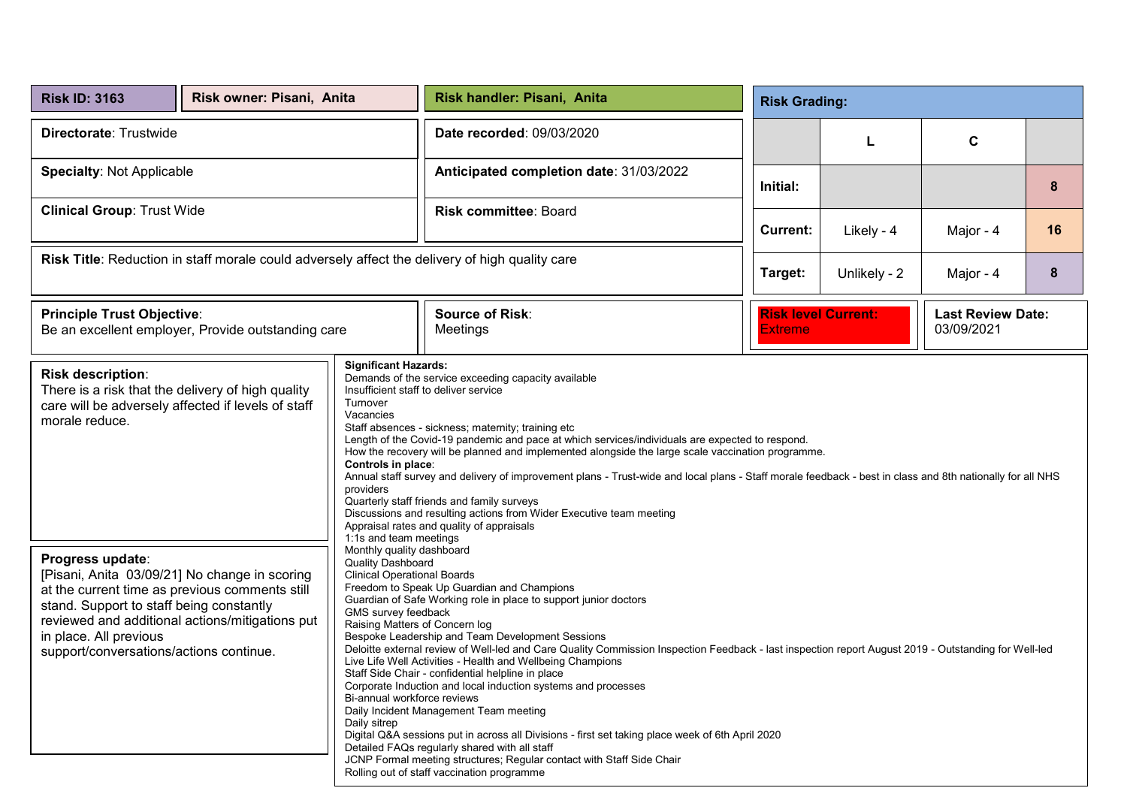| <b>Risk ID: 3163</b>                                                                                                                                                                                                                                                                                                                                                                                                                                                                                                                                                                                                                                                                                                                                                         | Risk owner: Pisani, Anita |                                                                                                                                                                                                                                                                                                                                                                                                                                                                                                                                                                                                                                                                                                                                                                                                                                                                                                                                                                                                                                                                                                                                                                                                                                                                                                                                                                                                                                                                                                                                   | Risk handler: Pisani, Anita                                                                    |                | <b>Risk Grading:</b>                                                 |           |    |  |  |
|------------------------------------------------------------------------------------------------------------------------------------------------------------------------------------------------------------------------------------------------------------------------------------------------------------------------------------------------------------------------------------------------------------------------------------------------------------------------------------------------------------------------------------------------------------------------------------------------------------------------------------------------------------------------------------------------------------------------------------------------------------------------------|---------------------------|-----------------------------------------------------------------------------------------------------------------------------------------------------------------------------------------------------------------------------------------------------------------------------------------------------------------------------------------------------------------------------------------------------------------------------------------------------------------------------------------------------------------------------------------------------------------------------------------------------------------------------------------------------------------------------------------------------------------------------------------------------------------------------------------------------------------------------------------------------------------------------------------------------------------------------------------------------------------------------------------------------------------------------------------------------------------------------------------------------------------------------------------------------------------------------------------------------------------------------------------------------------------------------------------------------------------------------------------------------------------------------------------------------------------------------------------------------------------------------------------------------------------------------------|------------------------------------------------------------------------------------------------|----------------|----------------------------------------------------------------------|-----------|----|--|--|
| Directorate: Trustwide                                                                                                                                                                                                                                                                                                                                                                                                                                                                                                                                                                                                                                                                                                                                                       |                           |                                                                                                                                                                                                                                                                                                                                                                                                                                                                                                                                                                                                                                                                                                                                                                                                                                                                                                                                                                                                                                                                                                                                                                                                                                                                                                                                                                                                                                                                                                                                   | Date recorded: 09/03/2020                                                                      |                | L                                                                    | C         |    |  |  |
| <b>Specialty: Not Applicable</b>                                                                                                                                                                                                                                                                                                                                                                                                                                                                                                                                                                                                                                                                                                                                             |                           |                                                                                                                                                                                                                                                                                                                                                                                                                                                                                                                                                                                                                                                                                                                                                                                                                                                                                                                                                                                                                                                                                                                                                                                                                                                                                                                                                                                                                                                                                                                                   | Anticipated completion date: 31/03/2022                                                        | Initial:       |                                                                      |           | 8  |  |  |
| <b>Clinical Group: Trust Wide</b>                                                                                                                                                                                                                                                                                                                                                                                                                                                                                                                                                                                                                                                                                                                                            |                           |                                                                                                                                                                                                                                                                                                                                                                                                                                                                                                                                                                                                                                                                                                                                                                                                                                                                                                                                                                                                                                                                                                                                                                                                                                                                                                                                                                                                                                                                                                                                   | <b>Risk committee: Board</b>                                                                   | Current:       | Likely - 4                                                           | Major - 4 | 16 |  |  |
|                                                                                                                                                                                                                                                                                                                                                                                                                                                                                                                                                                                                                                                                                                                                                                              |                           |                                                                                                                                                                                                                                                                                                                                                                                                                                                                                                                                                                                                                                                                                                                                                                                                                                                                                                                                                                                                                                                                                                                                                                                                                                                                                                                                                                                                                                                                                                                                   | Risk Title: Reduction in staff morale could adversely affect the delivery of high quality care | Target:        | Unlikely - 2                                                         | Major - 4 | 8  |  |  |
| <b>Principle Trust Objective:</b><br>Be an excellent employer, Provide outstanding care                                                                                                                                                                                                                                                                                                                                                                                                                                                                                                                                                                                                                                                                                      |                           |                                                                                                                                                                                                                                                                                                                                                                                                                                                                                                                                                                                                                                                                                                                                                                                                                                                                                                                                                                                                                                                                                                                                                                                                                                                                                                                                                                                                                                                                                                                                   | <b>Source of Risk:</b><br>Meetings                                                             | <b>Extreme</b> | <b>Risk level Current:</b><br><b>Last Review Date:</b><br>03/09/2021 |           |    |  |  |
| <b>Significant Hazards:</b><br><b>Risk description:</b><br>There is a risk that the delivery of high quality<br>Turnover<br>care will be adversely affected if levels of staff<br>Vacancies<br>morale reduce.<br>Controls in place:<br>providers<br>1:1s and team meetings<br>Monthly quality dashboard<br>Progress update:<br><b>Quality Dashboard</b><br>[Pisani, Anita 03/09/21] No change in scoring<br><b>Clinical Operational Boards</b><br>at the current time as previous comments still<br>stand. Support to staff being constantly<br>GMS survey feedback<br>reviewed and additional actions/mitigations put<br>Raising Matters of Concern log<br>in place. All previous<br>support/conversations/actions continue.<br>Bi-annual workforce reviews<br>Daily sitrep |                           | Demands of the service exceeding capacity available<br>Insufficient staff to deliver service<br>Staff absences - sickness; maternity; training etc<br>Length of the Covid-19 pandemic and pace at which services/individuals are expected to respond.<br>How the recovery will be planned and implemented alongside the large scale vaccination programme.<br>Annual staff survey and delivery of improvement plans - Trust-wide and local plans - Staff morale feedback - best in class and 8th nationally for all NHS<br>Quarterly staff friends and family surveys<br>Discussions and resulting actions from Wider Executive team meeting<br>Appraisal rates and quality of appraisals<br>Freedom to Speak Up Guardian and Champions<br>Guardian of Safe Working role in place to support junior doctors<br>Bespoke Leadership and Team Development Sessions<br>Deloitte external review of Well-led and Care Quality Commission Inspection Feedback - last inspection report August 2019 - Outstanding for Well-led<br>Live Life Well Activities - Health and Wellbeing Champions<br>Staff Side Chair - confidential helpline in place<br>Corporate Induction and local induction systems and processes<br>Daily Incident Management Team meeting<br>Digital Q&A sessions put in across all Divisions - first set taking place week of 6th April 2020<br>Detailed FAQs regularly shared with all staff<br>JCNP Formal meeting structures; Regular contact with Staff Side Chair<br>Rolling out of staff vaccination programme |                                                                                                |                |                                                                      |           |    |  |  |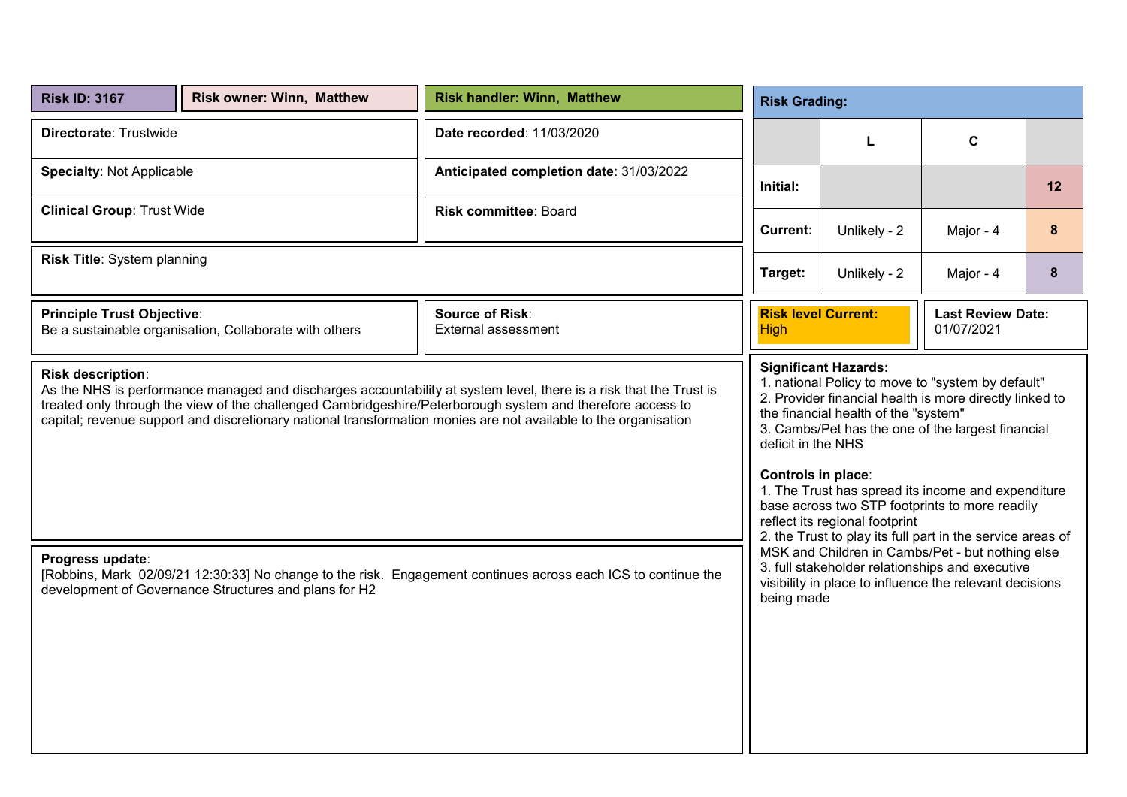| <b>Risk ID: 3167</b>                                                                                                                                                                                                                                                                                                                                                     | <b>Risk owner: Winn, Matthew</b>                                                                                                                                                                                                                                                                                                                                                                                                                                                             | <b>Risk handler: Winn, Matthew</b>                                                                            | <b>Risk Grading:</b>                                                                |              |                                                                                                                                                                |    |  |  |
|--------------------------------------------------------------------------------------------------------------------------------------------------------------------------------------------------------------------------------------------------------------------------------------------------------------------------------------------------------------------------|----------------------------------------------------------------------------------------------------------------------------------------------------------------------------------------------------------------------------------------------------------------------------------------------------------------------------------------------------------------------------------------------------------------------------------------------------------------------------------------------|---------------------------------------------------------------------------------------------------------------|-------------------------------------------------------------------------------------|--------------|----------------------------------------------------------------------------------------------------------------------------------------------------------------|----|--|--|
| Directorate: Trustwide                                                                                                                                                                                                                                                                                                                                                   |                                                                                                                                                                                                                                                                                                                                                                                                                                                                                              | Date recorded: 11/03/2020                                                                                     | $\mathbf c$<br>L                                                                    |              |                                                                                                                                                                |    |  |  |
| <b>Specialty: Not Applicable</b>                                                                                                                                                                                                                                                                                                                                         |                                                                                                                                                                                                                                                                                                                                                                                                                                                                                              | Anticipated completion date: 31/03/2022                                                                       | Initial:                                                                            |              |                                                                                                                                                                | 12 |  |  |
| <b>Clinical Group: Trust Wide</b>                                                                                                                                                                                                                                                                                                                                        |                                                                                                                                                                                                                                                                                                                                                                                                                                                                                              | Risk committee: Board                                                                                         | <b>Current:</b>                                                                     | Unlikely - 2 | Major - 4                                                                                                                                                      | 8  |  |  |
| Risk Title: System planning                                                                                                                                                                                                                                                                                                                                              |                                                                                                                                                                                                                                                                                                                                                                                                                                                                                              |                                                                                                               | Unlikely - 2<br>Major - 4<br>Target:                                                |              |                                                                                                                                                                | 8  |  |  |
| <b>Principle Trust Objective:</b>                                                                                                                                                                                                                                                                                                                                        | Be a sustainable organisation, Collaborate with others                                                                                                                                                                                                                                                                                                                                                                                                                                       | <b>Source of Risk:</b><br><b>External assessment</b>                                                          | <b>Risk level Current:</b><br><b>Last Review Date:</b><br>01/07/2021<br><b>High</b> |              |                                                                                                                                                                |    |  |  |
| Risk description:<br>As the NHS is performance managed and discharges accountability at system level, there is a risk that the Trust is<br>treated only through the view of the challenged Cambridgeshire/Peterborough system and therefore access to<br>capital; revenue support and discretionary national transformation monies are not available to the organisation | <b>Significant Hazards:</b><br>1. national Policy to move to "system by default"<br>2. Provider financial health is more directly linked to<br>the financial health of the "system"<br>3. Cambs/Pet has the one of the largest financial<br>deficit in the NHS<br>Controls in place:<br>1. The Trust has spread its income and expenditure<br>base across two STP footprints to more readily<br>reflect its regional footprint<br>2. the Trust to play its full part in the service areas of |                                                                                                               |                                                                                     |              |                                                                                                                                                                |    |  |  |
| Progress update:                                                                                                                                                                                                                                                                                                                                                         | development of Governance Structures and plans for H2                                                                                                                                                                                                                                                                                                                                                                                                                                        | [Robbins, Mark 02/09/21 12:30:33] No change to the risk. Engagement continues across each ICS to continue the | being made                                                                          |              | MSK and Children in Cambs/Pet - but nothing else<br>3. full stakeholder relationships and executive<br>visibility in place to influence the relevant decisions |    |  |  |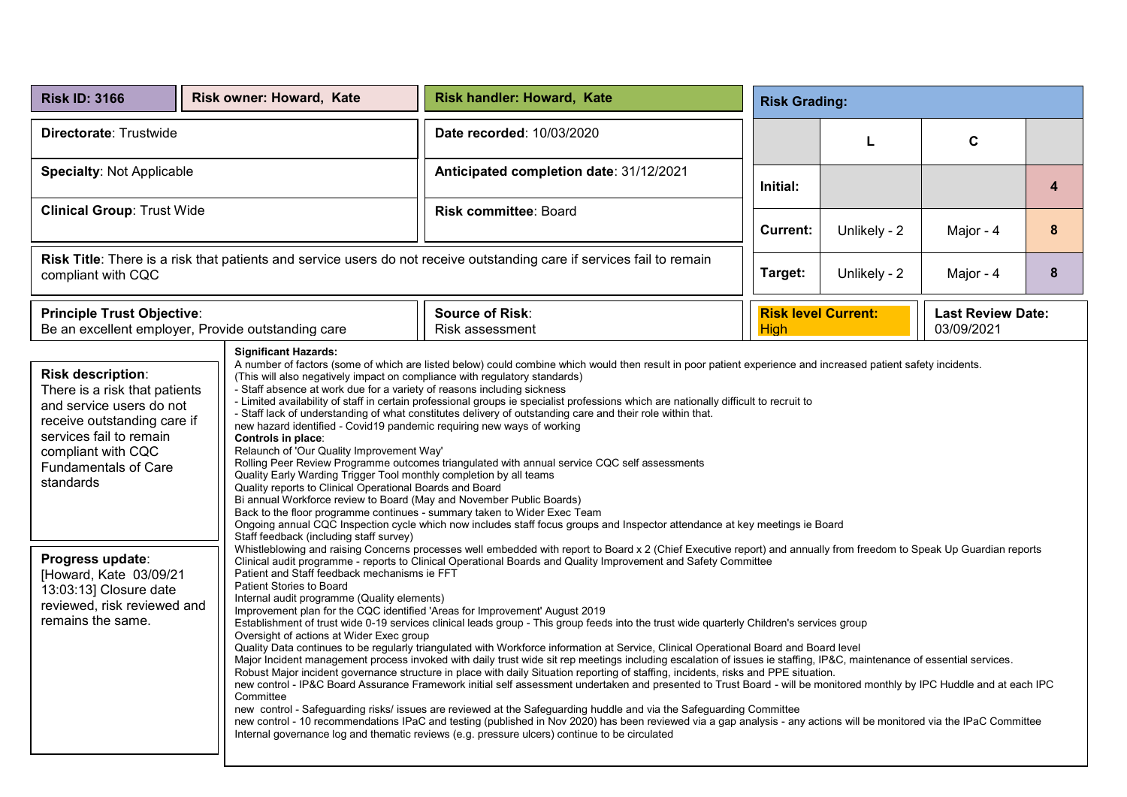| <b>Risk ID: 3166</b>                                                                                                                                                                                                                                                                                                                                                                                                                                                                                                                                                                                                                                                                                                                                                                                                                                                                                                                                                                                                                                                                                                                                                                                                                                                                                                                                                       |  | Risk owner: Howard, Kate | Risk handler: Howard, Kate<br><b>Risk Grading:</b>                                                                                                                                                                                                                                                                                                                                                                                                                                                                                                                                                                                                                                                                                                                                                                                                                                                                                                                                                                                                                                                                                                                                                                                                                                                                                                                                                                                                                                                                                                                                                                                                                                                                                                                                                                                                                                                                                                                                                                                                                                                                             |             |                                                                      |           |   |  |  |
|----------------------------------------------------------------------------------------------------------------------------------------------------------------------------------------------------------------------------------------------------------------------------------------------------------------------------------------------------------------------------------------------------------------------------------------------------------------------------------------------------------------------------------------------------------------------------------------------------------------------------------------------------------------------------------------------------------------------------------------------------------------------------------------------------------------------------------------------------------------------------------------------------------------------------------------------------------------------------------------------------------------------------------------------------------------------------------------------------------------------------------------------------------------------------------------------------------------------------------------------------------------------------------------------------------------------------------------------------------------------------|--|--------------------------|--------------------------------------------------------------------------------------------------------------------------------------------------------------------------------------------------------------------------------------------------------------------------------------------------------------------------------------------------------------------------------------------------------------------------------------------------------------------------------------------------------------------------------------------------------------------------------------------------------------------------------------------------------------------------------------------------------------------------------------------------------------------------------------------------------------------------------------------------------------------------------------------------------------------------------------------------------------------------------------------------------------------------------------------------------------------------------------------------------------------------------------------------------------------------------------------------------------------------------------------------------------------------------------------------------------------------------------------------------------------------------------------------------------------------------------------------------------------------------------------------------------------------------------------------------------------------------------------------------------------------------------------------------------------------------------------------------------------------------------------------------------------------------------------------------------------------------------------------------------------------------------------------------------------------------------------------------------------------------------------------------------------------------------------------------------------------------------------------------------------------------|-------------|----------------------------------------------------------------------|-----------|---|--|--|
| Directorate: Trustwide                                                                                                                                                                                                                                                                                                                                                                                                                                                                                                                                                                                                                                                                                                                                                                                                                                                                                                                                                                                                                                                                                                                                                                                                                                                                                                                                                     |  |                          | Date recorded: 10/03/2020                                                                                                                                                                                                                                                                                                                                                                                                                                                                                                                                                                                                                                                                                                                                                                                                                                                                                                                                                                                                                                                                                                                                                                                                                                                                                                                                                                                                                                                                                                                                                                                                                                                                                                                                                                                                                                                                                                                                                                                                                                                                                                      | C<br>L      |                                                                      |           |   |  |  |
| <b>Specialty: Not Applicable</b>                                                                                                                                                                                                                                                                                                                                                                                                                                                                                                                                                                                                                                                                                                                                                                                                                                                                                                                                                                                                                                                                                                                                                                                                                                                                                                                                           |  |                          | Anticipated completion date: 31/12/2021                                                                                                                                                                                                                                                                                                                                                                                                                                                                                                                                                                                                                                                                                                                                                                                                                                                                                                                                                                                                                                                                                                                                                                                                                                                                                                                                                                                                                                                                                                                                                                                                                                                                                                                                                                                                                                                                                                                                                                                                                                                                                        | Initial:    |                                                                      |           | 4 |  |  |
| <b>Clinical Group: Trust Wide</b>                                                                                                                                                                                                                                                                                                                                                                                                                                                                                                                                                                                                                                                                                                                                                                                                                                                                                                                                                                                                                                                                                                                                                                                                                                                                                                                                          |  |                          | Risk committee: Board                                                                                                                                                                                                                                                                                                                                                                                                                                                                                                                                                                                                                                                                                                                                                                                                                                                                                                                                                                                                                                                                                                                                                                                                                                                                                                                                                                                                                                                                                                                                                                                                                                                                                                                                                                                                                                                                                                                                                                                                                                                                                                          | Current:    | Unlikely - 2                                                         | Major - 4 | 8 |  |  |
| Risk Title: There is a risk that patients and service users do not receive outstanding care if services fail to remain<br>compliant with CQC                                                                                                                                                                                                                                                                                                                                                                                                                                                                                                                                                                                                                                                                                                                                                                                                                                                                                                                                                                                                                                                                                                                                                                                                                               |  |                          |                                                                                                                                                                                                                                                                                                                                                                                                                                                                                                                                                                                                                                                                                                                                                                                                                                                                                                                                                                                                                                                                                                                                                                                                                                                                                                                                                                                                                                                                                                                                                                                                                                                                                                                                                                                                                                                                                                                                                                                                                                                                                                                                | Target:     | Unlikely - 2                                                         | Major - 4 | 8 |  |  |
|                                                                                                                                                                                                                                                                                                                                                                                                                                                                                                                                                                                                                                                                                                                                                                                                                                                                                                                                                                                                                                                                                                                                                                                                                                                                                                                                                                            |  |                          | <b>Source of Risk:</b><br>Risk assessment                                                                                                                                                                                                                                                                                                                                                                                                                                                                                                                                                                                                                                                                                                                                                                                                                                                                                                                                                                                                                                                                                                                                                                                                                                                                                                                                                                                                                                                                                                                                                                                                                                                                                                                                                                                                                                                                                                                                                                                                                                                                                      | <b>High</b> | <b>Risk level Current:</b><br><b>Last Review Date:</b><br>03/09/2021 |           |   |  |  |
| <b>Principle Trust Objective:</b><br>Be an excellent employer, Provide outstanding care<br><b>Significant Hazards:</b><br>Risk description:<br>(This will also negatively impact on compliance with regulatory standards)<br>- Staff absence at work due for a variety of reasons including sickness<br>There is a risk that patients<br>and service users do not<br>receive outstanding care if<br>new hazard identified - Covid19 pandemic requiring new ways of working<br>services fail to remain<br>Controls in place:<br>Relaunch of 'Our Quality Improvement Way'<br>compliant with CQC<br><b>Fundamentals of Care</b><br>Quality Early Warding Trigger Tool monthly completion by all teams<br>standards<br>Quality reports to Clinical Operational Boards and Board<br>Bi annual Workforce review to Board (May and November Public Boards)<br>Back to the floor programme continues - summary taken to Wider Exec Team<br>Staff feedback (including staff survey)<br>Progress update:<br>Patient and Staff feedback mechanisms ie FFT<br>[Howard, Kate 03/09/21<br>Patient Stories to Board<br>13:03:13] Closure date<br>Internal audit programme (Quality elements)<br>reviewed, risk reviewed and<br>Improvement plan for the CQC identified 'Areas for Improvement' August 2019<br>remains the same.<br>Oversight of actions at Wider Exec group<br>Committee |  |                          | A number of factors (some of which are listed below) could combine which would then result in poor patient experience and increased patient safety incidents.<br>- Limited availability of staff in certain professional groups ie specialist professions which are nationally difficult to recruit to<br>- Staff lack of understanding of what constitutes delivery of outstanding care and their role within that.<br>Rolling Peer Review Programme outcomes triangulated with annual service CQC self assessments<br>Ongoing annual CQC Inspection cycle which now includes staff focus groups and Inspector attendance at key meetings ie Board<br>Whistleblowing and raising Concerns processes well embedded with report to Board x 2 (Chief Executive report) and annually from freedom to Speak Up Guardian reports<br>Clinical audit programme - reports to Clinical Operational Boards and Quality Improvement and Safety Committee<br>Establishment of trust wide 0-19 services clinical leads group - This group feeds into the trust wide quarterly Children's services group<br>Quality Data continues to be regularly triangulated with Workforce information at Service, Clinical Operational Board and Board level<br>Major Incident management process invoked with daily trust wide sit rep meetings including escalation of issues ie staffing, IP&C, maintenance of essential services.<br>Robust Major incident governance structure in place with daily Situation reporting of staffing, incidents, risks and PPE situation.<br>new control - IP&C Board Assurance Framework initial self assessment undertaken and presented to Trust Board - will be monitored monthly by IPC Huddle and at each IPC<br>new control - Safeguarding risks/ issues are reviewed at the Safeguarding huddle and via the Safeguarding Committee<br>new control - 10 recommendations IPaC and testing (published in Nov 2020) has been reviewed via a gap analysis - any actions will be monitored via the IPaC Committee<br>Internal governance log and thematic reviews (e.g. pressure ulcers) continue to be circulated |             |                                                                      |           |   |  |  |